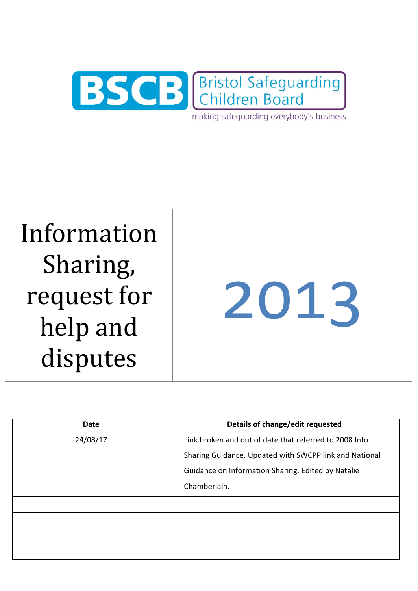

making safeguarding everybody's business

Information Sharing, request for help and disputes

2013

| <b>Date</b> | Details of change/edit requested                       |
|-------------|--------------------------------------------------------|
| 24/08/17    | Link broken and out of date that referred to 2008 Info |
|             | Sharing Guidance. Updated with SWCPP link and National |
|             | Guidance on Information Sharing. Edited by Natalie     |
|             | Chamberlain.                                           |
|             |                                                        |
|             |                                                        |
|             |                                                        |
|             |                                                        |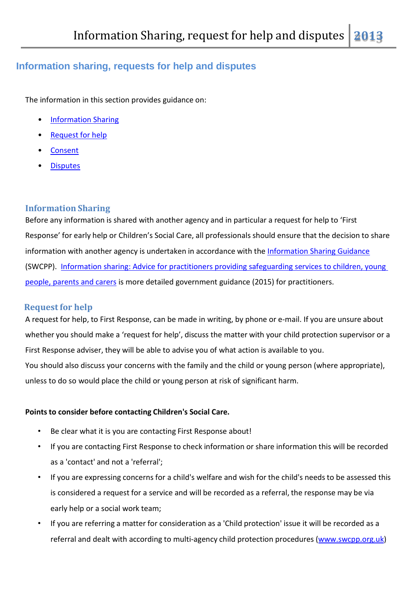# **Information sharing, requests for help and disputes**

The information in this section provides guidance on:

- Information Sharing
- Request for help
- **Consent**
- **Disputes**

# **Information Sharing**

Before any information is shared with another agency and in particular a request for help to 'First Response' for early help or Children's Social Care, all professionals should ensure that the decision to share information with another agency is undertaken in accordance with the [Information Sharing Guidance](https://www.proceduresonline.com/swcpp/bristol/p_info_sharing.html) (SWCPP). Information sharing: Advice for practitioners providing safeguarding services to children, young [people, parents and carers](https://www.gov.uk/government/uploads/system/uploads/attachment_data/file/419628/Information_sharing_advice_safeguarding_practitioners.pdf) is more detailed government guidance (2015) for practitioners.

## **Requestfor help**

A request for help, to First Response, can be made in writing, by phone or e-mail. If you are unsure about whether you should make a 'request for help', discuss the matter with your child protection supervisor or a First Response adviser, they will be able to advise you of what action is available to you. You should also discuss your concerns with the family and the child or young person (where appropriate), unless to do so would place the child or young person at risk of significant harm.

#### **Points to consider before contacting Children's Social Care.**

- Be clear what it is you are contacting First Response about!
- If you are contacting First Response to check information or share information this will be recorded as a 'contact' and not a 'referral';
- If you are expressing concerns for a child's welfare and wish for the child's needs to be assessed this is considered a request for a service and will be recorded as a referral, the response may be via early help or a social work team;
- If you are referring a matter for consideration as a 'Child protection' issue it will be recorded as a referral and dealt with according to multi-agency child protection procedures [\(www.swcpp.org.uk\)](http://www.swcpp.org.uk/)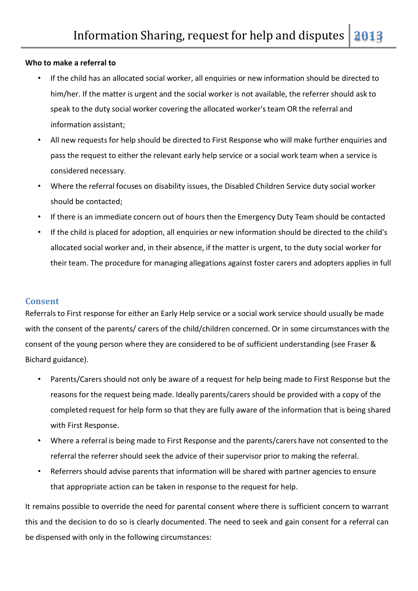#### **Who to make a referral to**

- If the child has an allocated social worker, all enquiries or new information should be directed to him/her. If the matter is urgent and the social worker is not available, the referrer should ask to speak to the duty social worker covering the allocated worker's team OR the referral and information assistant;
- All new requests for help should be directed to First Response who will make further enquiries and pass the request to either the relevant early help service or a social work team when a service is considered necessary.
- Where the referral focuses on disability issues, the Disabled Children Service duty social worker should be contacted;
- If there is an immediate concern out of hours then the Emergency Duty Team should be contacted
- If the child is placed for adoption, all enquiries or new information should be directed to the child's allocated social worker and, in their absence, if the matter is urgent, to the duty social worker for their team. The procedure for managing allegations against foster carers and adopters applies in full

## **Consent**

Referrals to First response for either an Early Help service or a social work service should usually be made with the consent of the parents/ carers of the child/children concerned. Or in some circumstances with the consent of the young person where they are considered to be of sufficient understanding (see Fraser & Bichard guidance).

- Parents/Carers should not only be aware of a request for help being made to First Response but the reasons for the request being made. Ideally parents/carers should be provided with a copy of the completed request for help form so that they are fully aware of the information that is being shared with First Response.
- Where a referral is being made to First Response and the parents/carers have not consented to the referral the referrer should seek the advice of their supervisor prior to making the referral.
- Referrers should advise parents that information will be shared with partner agencies to ensure that appropriate action can be taken in response to the request for help.

It remains possible to override the need for parental consent where there is sufficient concern to warrant this and the decision to do so is clearly documented. The need to seek and gain consent for a referral can be dispensed with only in the following circumstances: